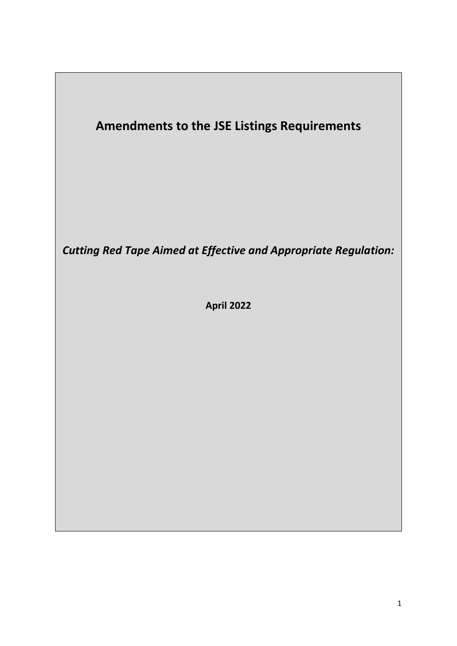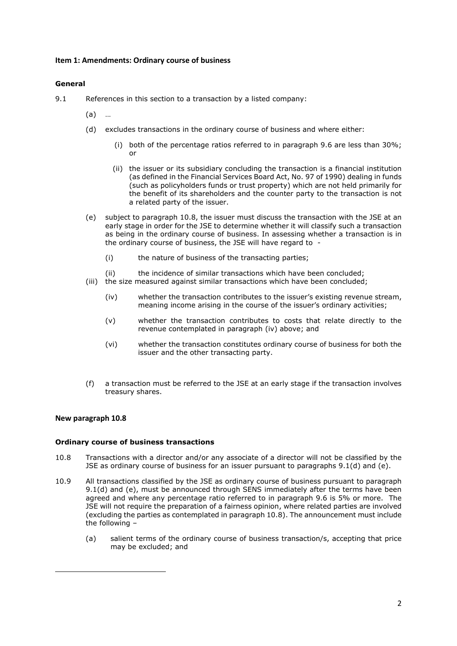# Item 1: Amendments: Ordinary course of business

# General

- 9.1 References in this section to a transaction by a listed company:
	- (a) …
	- (d) excludes transactions in the ordinary course of business and where either:
		- (i) both of the percentage ratios referred to in paragraph 9.6 are less than  $30\%$ ; or
		- (ii) the issuer or its subsidiary concluding the transaction is a financial institution (as defined in the Financial Services Board Act, No. 97 of 1990) dealing in funds (such as policyholders funds or trust property) which are not held primarily for the benefit of its shareholders and the counter party to the transaction is not a related party of the issuer.
	- (e) subject to paragraph 10.8, the issuer must discuss the transaction with the JSE at an early stage in order for the JSE to determine whether it will classify such a transaction as being in the ordinary course of business. In assessing whether a transaction is in the ordinary course of business, the JSE will have regard to -
		- (i) the nature of business of the transacting parties;
		- (ii) the incidence of similar transactions which have been concluded;
	- (iii) the size measured against similar transactions which have been concluded;
		- (iv) whether the transaction contributes to the issuer's existing revenue stream, meaning income arising in the course of the issuer's ordinary activities;
		- (v) whether the transaction contributes to costs that relate directly to the revenue contemplated in paragraph (iv) above; and
		- (vi) whether the transaction constitutes ordinary course of business for both the issuer and the other transacting party.
	- (f) a transaction must be referred to the JSE at an early stage if the transaction involves treasury shares.

# New paragraph 10.8

# Ordinary course of business transactions

- 10.8 Transactions with a director and/or any associate of a director will not be classified by the JSE as ordinary course of business for an issuer pursuant to paragraphs 9.1(d) and (e).
- 10.9 All transactions classified by the JSE as ordinary course of business pursuant to paragraph 9.1(d) and (e), must be announced through SENS immediately after the terms have been agreed and where any percentage ratio referred to in paragraph 9.6 is 5% or more. The JSE will not require the preparation of a fairness opinion, where related parties are involved (excluding the parties as contemplated in paragraph 10.8). The announcement must include the following –
	- (a) salient terms of the ordinary course of business transaction/s, accepting that price may be excluded; and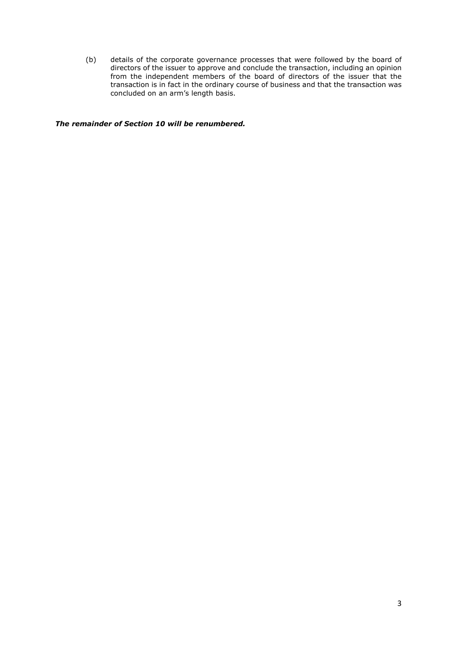(b) details of the corporate governance processes that were followed by the board of directors of the issuer to approve and conclude the transaction, including an opinion from the independent members of the board of directors of the issuer that the transaction is in fact in the ordinary course of business and that the transaction was concluded on an arm's length basis.

The remainder of Section 10 will be renumbered.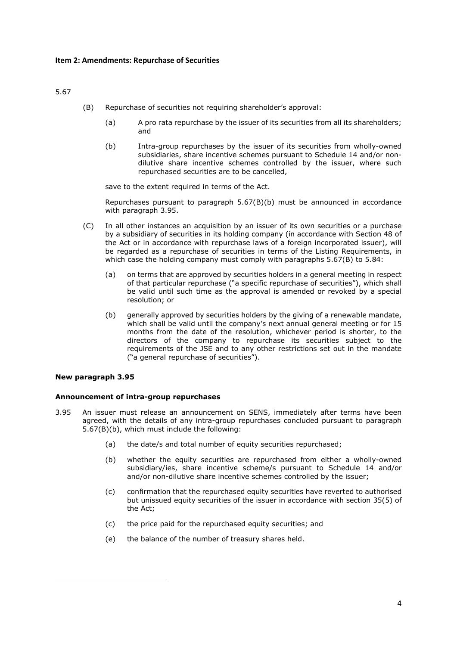5.67

- (B) Repurchase of securities not requiring shareholder's approval:
	- (a) A pro rata repurchase by the issuer of its securities from all its shareholders; and
	- (b) Intra-group repurchases by the issuer of its securities from wholly-owned subsidiaries, share incentive schemes pursuant to Schedule 14 and/or nondilutive share incentive schemes controlled by the issuer, where such repurchased securities are to be cancelled,

save to the extent required in terms of the Act.

 Repurchases pursuant to paragraph 5.67(B)(b) must be announced in accordance with paragraph 3.95.

- (C) In all other instances an acquisition by an issuer of its own securities or a purchase by a subsidiary of securities in its holding company (in accordance with Section 48 of the Act or in accordance with repurchase laws of a foreign incorporated issuer), will be regarded as a repurchase of securities in terms of the Listing Requirements, in which case the holding company must comply with paragraphs 5.67(B) to 5.84:
	- (a) on terms that are approved by securities holders in a general meeting in respect of that particular repurchase ("a specific repurchase of securities"), which shall be valid until such time as the approval is amended or revoked by a special resolution; or
	- (b) generally approved by securities holders by the giving of a renewable mandate, which shall be valid until the company's next annual general meeting or for 15 months from the date of the resolution, whichever period is shorter, to the directors of the company to repurchase its securities subject to the requirements of the JSE and to any other restrictions set out in the mandate ("a general repurchase of securities").

# New paragraph 3.95

# Announcement of intra-group repurchases

- 3.95 An issuer must release an announcement on SENS, immediately after terms have been agreed, with the details of any intra-group repurchases concluded pursuant to paragraph 5.67(B)(b), which must include the following:
	- (a) the date/s and total number of equity securities repurchased;
	- (b) whether the equity securities are repurchased from either a wholly-owned subsidiary/ies, share incentive scheme/s pursuant to Schedule 14 and/or and/or non-dilutive share incentive schemes controlled by the issuer;
	- (c) confirmation that the repurchased equity securities have reverted to authorised but unissued equity securities of the issuer in accordance with section 35(5) of the Act;
	- (c) the price paid for the repurchased equity securities; and
	- (e) the balance of the number of treasury shares held.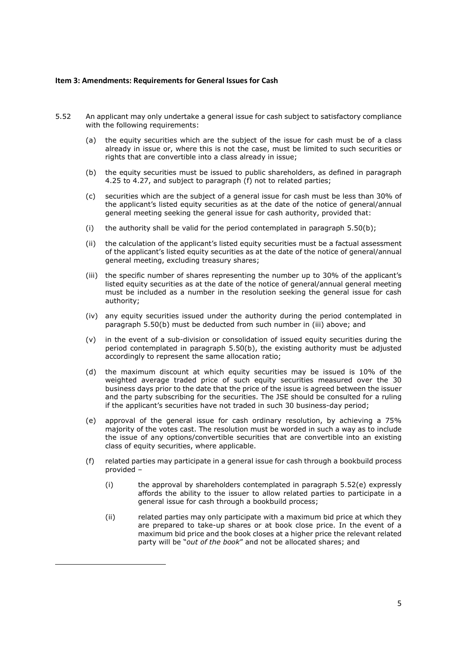# Item 3: Amendments: Requirements for General Issues for Cash

- 5.52 An applicant may only undertake a general issue for cash subject to satisfactory compliance with the following requirements:
	- (a) the equity securities which are the subject of the issue for cash must be of a class already in issue or, where this is not the case, must be limited to such securities or rights that are convertible into a class already in issue;
	- (b) the equity securities must be issued to public shareholders, as defined in paragraph 4.25 to 4.27, and subject to paragraph (f) not to related parties;
	- (c) securities which are the subject of a general issue for cash must be less than 30% of the applicant's listed equity securities as at the date of the notice of general/annual general meeting seeking the general issue for cash authority, provided that:
	- (i) the authority shall be valid for the period contemplated in paragraph  $5.50(b)$ ;
	- (ii) the calculation of the applicant's listed equity securities must be a factual assessment of the applicant's listed equity securities as at the date of the notice of general/annual general meeting, excluding treasury shares;
	- (iii) the specific number of shares representing the number up to 30% of the applicant's listed equity securities as at the date of the notice of general/annual general meeting must be included as a number in the resolution seeking the general issue for cash authority;
	- (iv) any equity securities issued under the authority during the period contemplated in paragraph 5.50(b) must be deducted from such number in (iii) above; and
	- (v) in the event of a sub-division or consolidation of issued equity securities during the period contemplated in paragraph 5.50(b), the existing authority must be adjusted accordingly to represent the same allocation ratio;
	- (d) the maximum discount at which equity securities may be issued is 10% of the weighted average traded price of such equity securities measured over the 30 business days prior to the date that the price of the issue is agreed between the issuer and the party subscribing for the securities. The JSE should be consulted for a ruling if the applicant's securities have not traded in such 30 business-day period;
	- (e) approval of the general issue for cash ordinary resolution, by achieving a 75% majority of the votes cast. The resolution must be worded in such a way as to include the issue of any options/convertible securities that are convertible into an existing class of equity securities, where applicable.
	- (f) related parties may participate in a general issue for cash through a bookbuild process provided –
		- (i) the approval by shareholders contemplated in paragraph 5.52(e) expressly affords the ability to the issuer to allow related parties to participate in a general issue for cash through a bookbuild process;
		- (ii) related parties may only participate with a maximum bid price at which they are prepared to take-up shares or at book close price. In the event of a maximum bid price and the book closes at a higher price the relevant related party will be "out of the book" and not be allocated shares; and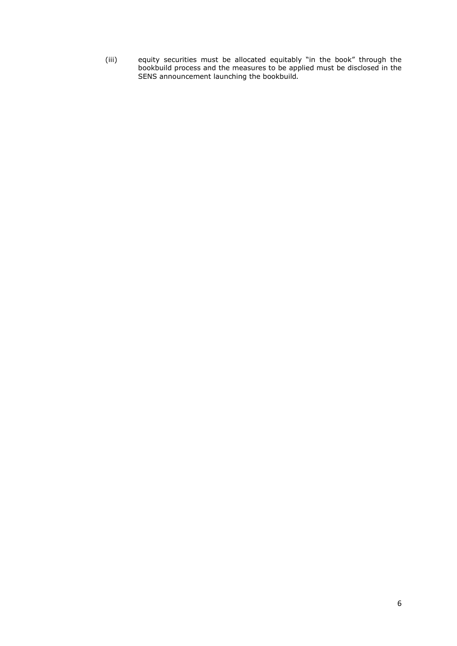(iii) equity securities must be allocated equitably "in the book" through the bookbuild process and the measures to be applied must be disclosed in the SENS announcement launching the bookbuild.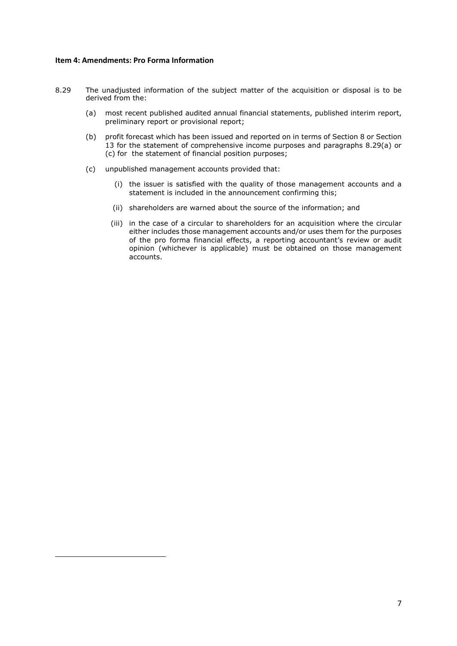#### Item 4: Amendments: Pro Forma Information

- 8.29 The unadjusted information of the subject matter of the acquisition or disposal is to be derived from the:
	- (a) most recent published audited annual financial statements, published interim report, preliminary report or provisional report;
	- (b) profit forecast which has been issued and reported on in terms of Section 8 or Section 13 for the statement of comprehensive income purposes and paragraphs 8.29(a) or (c) for the statement of financial position purposes;
	- (c) unpublished management accounts provided that:
		- (i) the issuer is satisfied with the quality of those management accounts and a statement is included in the announcement confirming this;
		- (ii) shareholders are warned about the source of the information; and
		- (iii) in the case of a circular to shareholders for an acquisition where the circular either includes those management accounts and/or uses them for the purposes of the pro forma financial effects, a reporting accountant's review or audit opinion (whichever is applicable) must be obtained on those management accounts.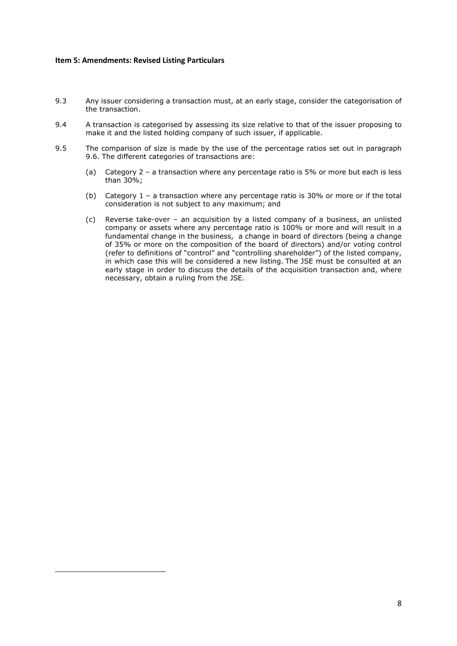# Item 5: Amendments: Revised Listing Particulars

- 9.3 Any issuer considering a transaction must, at an early stage, consider the categorisation of the transaction.
- 9.4 A transaction is categorised by assessing its size relative to that of the issuer proposing to make it and the listed holding company of such issuer, if applicable.
- 9.5 The comparison of size is made by the use of the percentage ratios set out in paragraph 9.6. The different categories of transactions are:
	- (a) Category 2 a transaction where any percentage ratio is 5% or more but each is less than 30%;
	- (b) Category 1 a transaction where any percentage ratio is 30% or more or if the total consideration is not subject to any maximum; and
	- (c) Reverse take-over an acquisition by a listed company of a business, an unlisted company or assets where any percentage ratio is 100% or more and will result in a fundamental change in the business, a change in board of directors (being a change of 35% or more on the composition of the board of directors) and/or voting control (refer to definitions of "control" and "controlling shareholder") of the listed company, in which case this will be considered a new listing. The JSE must be consulted at an early stage in order to discuss the details of the acquisition transaction and, where necessary, obtain a ruling from the JSE.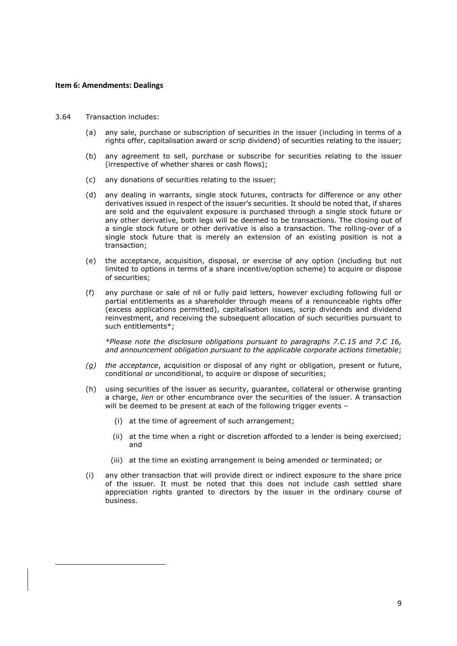### Item 6: Amendments: Dealings

- 3.64 Transaction includes:
	- (a) any sale, purchase or subscription of securities in the issuer (including in terms of a rights offer, capitalisation award or scrip dividend) of securities relating to the issuer;
	- (b) any agreement to sell, purchase or subscribe for securities relating to the issuer (irrespective of whether shares or cash flows);
	- (c) any donations of securities relating to the issuer;
	- (d) any dealing in warrants, single stock futures, contracts for difference or any other derivatives issued in respect of the issuer's securities. It should be noted that, if shares are sold and the equivalent exposure is purchased through a single stock future or any other derivative, both legs will be deemed to be transactions. The closing out of a single stock future or other derivative is also a transaction. The rolling-over of a single stock future that is merely an extension of an existing position is not a transaction;
	- (e) the acceptance, acquisition, disposal, or exercise of any option (including but not limited to options in terms of a share incentive/option scheme) to acquire or dispose of securities;
	- (f) any purchase or sale of nil or fully paid letters, however excluding following full or partial entitlements as a shareholder through means of a renounceable rights offer (excess applications permitted), capitalisation issues, scrip dividends and dividend reinvestment, and receiving the subsequent allocation of such securities pursuant to such entitlements\*;

 \*Please note the disclosure obligations pursuant to paragraphs 7.C.15 and 7.C 16, and announcement obligation pursuant to the applicable corporate actions timetable;

- $(q)$  the acceptance, acquisition or disposal of any right or obligation, present or future, conditional or unconditional, to acquire or dispose of securities;
- (h) using securities of the issuer as security, guarantee, collateral or otherwise granting a charge, lien or other encumbrance over the securities of the issuer. A transaction will be deemed to be present at each of the following trigger events -
	- (i) at the time of agreement of such arrangement;
	- (ii) at the time when a right or discretion afforded to a lender is being exercised; and
	- (iii) at the time an existing arrangement is being amended or terminated; or
- (i) any other transaction that will provide direct or indirect exposure to the share price of the issuer. It must be noted that this does not include cash settled share appreciation rights granted to directors by the issuer in the ordinary course of business.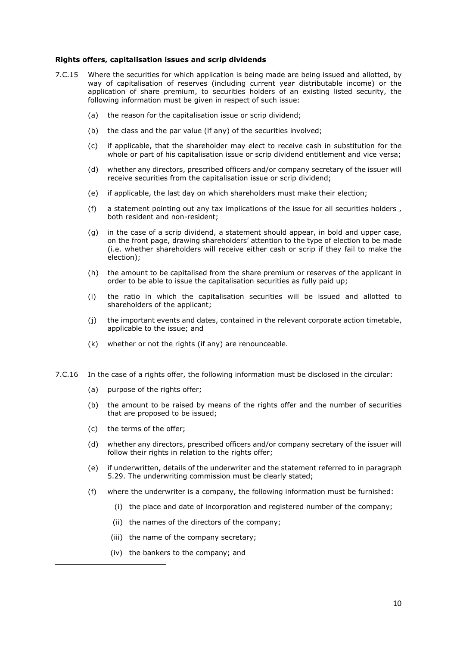#### Rights offers, capitalisation issues and scrip dividends

- 7.C.15 Where the securities for which application is being made are being issued and allotted, by way of capitalisation of reserves (including current year distributable income) or the application of share premium, to securities holders of an existing listed security, the following information must be given in respect of such issue:
	- (a) the reason for the capitalisation issue or scrip dividend;
	- (b) the class and the par value (if any) of the securities involved;
	- (c) if applicable, that the shareholder may elect to receive cash in substitution for the whole or part of his capitalisation issue or scrip dividend entitlement and vice versa;
	- (d) whether any directors, prescribed officers and/or company secretary of the issuer will receive securities from the capitalisation issue or scrip dividend;
	- (e) if applicable, the last day on which shareholders must make their election;
	- (f) a statement pointing out any tax implications of the issue for all securities holders , both resident and non-resident;
	- (g) in the case of a scrip dividend, a statement should appear, in bold and upper case, on the front page, drawing shareholders' attention to the type of election to be made (i.e. whether shareholders will receive either cash or scrip if they fail to make the election);
	- (h) the amount to be capitalised from the share premium or reserves of the applicant in order to be able to issue the capitalisation securities as fully paid up;
	- (i) the ratio in which the capitalisation securities will be issued and allotted to shareholders of the applicant;
	- (j) the important events and dates, contained in the relevant corporate action timetable, applicable to the issue; and
	- (k) whether or not the rights (if any) are renounceable.
- 7.C.16 In the case of a rights offer, the following information must be disclosed in the circular:
	- (a) purpose of the rights offer;
	- (b) the amount to be raised by means of the rights offer and the number of securities that are proposed to be issued;
	- (c) the terms of the offer;
	- (d) whether any directors, prescribed officers and/or company secretary of the issuer will follow their rights in relation to the rights offer:
	- (e) if underwritten, details of the underwriter and the statement referred to in paragraph 5.29. The underwriting commission must be clearly stated;
	- (f) where the underwriter is a company, the following information must be furnished:
		- (i) the place and date of incorporation and registered number of the company;
		- (ii) the names of the directors of the company;
		- (iii) the name of the company secretary;
		- (iv) the bankers to the company; and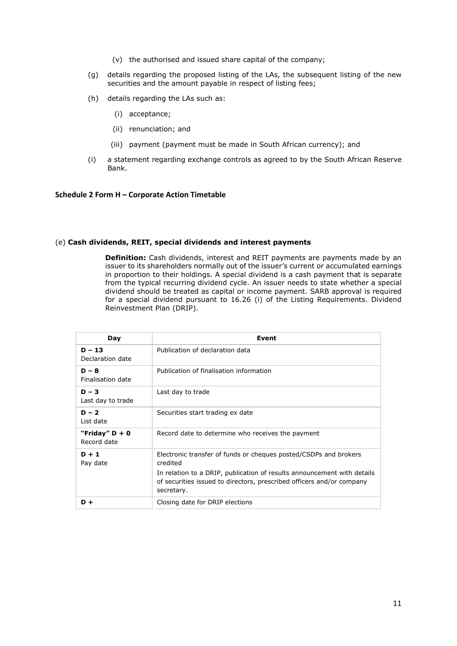- (v) the authorised and issued share capital of the company;
- (g) details regarding the proposed listing of the LAs, the subsequent listing of the new securities and the amount payable in respect of listing fees;
- (h) details regarding the LAs such as:
	- (i) acceptance;
	- (ii) renunciation; and
	- (iii) payment (payment must be made in South African currency); and
- (i) a statement regarding exchange controls as agreed to by the South African Reserve Bank.

#### Schedule 2 Form H – Corporate Action Timetable

#### (e) Cash dividends, REIT, special dividends and interest payments

**Definition:** Cash dividends, interest and REIT payments are payments made by an issuer to its shareholders normally out of the issuer's current or accumulated earnings in proportion to their holdings. A special dividend is a cash payment that is separate from the typical recurring dividend cycle. An issuer needs to state whether a special dividend should be treated as capital or income payment. SARB approval is required for a special dividend pursuant to 16.26 (i) of the Listing Requirements. Dividend Reinvestment Plan (DRIP).

| Day                             | Event                                                                                                                                                          |
|---------------------------------|----------------------------------------------------------------------------------------------------------------------------------------------------------------|
| $D - 13$<br>Declaration date    | Publication of declaration data                                                                                                                                |
| $D - 8$<br>Finalisation date    | Publication of finalisation information                                                                                                                        |
| $D - 3$<br>Last day to trade    | Last day to trade                                                                                                                                              |
| $D - 2$<br>List date            | Securities start trading ex date                                                                                                                               |
| "Friday" $D + 0$<br>Record date | Record date to determine who receives the payment                                                                                                              |
| $D + 1$<br>Pay date             | Electronic transfer of funds or cheques posted/CSDPs and brokers<br>credited                                                                                   |
|                                 | In relation to a DRIP, publication of results announcement with details<br>of securities issued to directors, prescribed officers and/or company<br>secretary. |
| D+                              | Closing date for DRIP elections                                                                                                                                |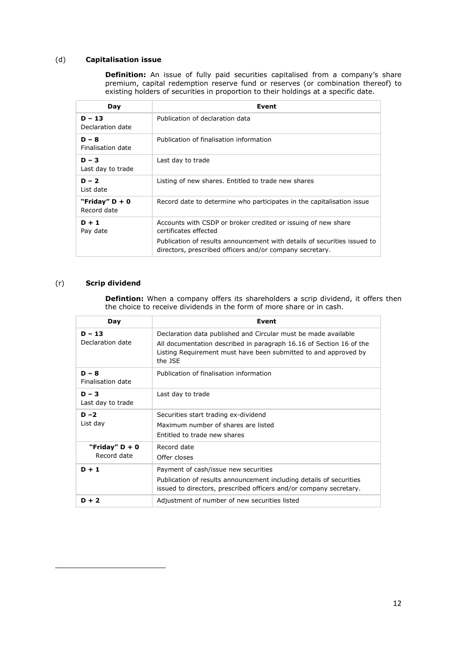# (d) Capitalisation issue

**Definition:** An issue of fully paid securities capitalised from a company's share premium, capital redemption reserve fund or reserves (or combination thereof) to existing holders of securities in proportion to their holdings at a specific date.

| Day                             | Event                                                                                                                                                                                                                          |
|---------------------------------|--------------------------------------------------------------------------------------------------------------------------------------------------------------------------------------------------------------------------------|
| $D - 13$<br>Declaration date    | Publication of declaration data                                                                                                                                                                                                |
| $D - 8$<br>Finalisation date    | Publication of finalisation information                                                                                                                                                                                        |
| $D - 3$<br>Last day to trade    | Last day to trade                                                                                                                                                                                                              |
| $D - 2$<br>List date            | Listing of new shares. Entitled to trade new shares                                                                                                                                                                            |
| "Friday" $D + 0$<br>Record date | Record date to determine who participates in the capitalisation issue                                                                                                                                                          |
| $D + 1$<br>Pay date             | Accounts with CSDP or broker credited or issuing of new share<br>certificates effected<br>Publication of results announcement with details of securities issued to<br>directors, prescribed officers and/or company secretary. |

# (r) Scrip dividend

**Defintion:** When a company offers its shareholders a scrip dividend, it offers then the choice to receive dividends in the form of more share or in cash.

| Day                             | Event                                                                                                                                                                                                               |
|---------------------------------|---------------------------------------------------------------------------------------------------------------------------------------------------------------------------------------------------------------------|
| $D - 13$<br>Declaration date    | Declaration data published and Circular must be made available<br>All documentation described in paragraph 16.16 of Section 16 of the<br>Listing Requirement must have been submitted to and approved by<br>the ISF |
| $D - 8$<br>Finalisation date    | Publication of finalisation information                                                                                                                                                                             |
| $D - 3$<br>Last day to trade    | Last day to trade                                                                                                                                                                                                   |
| $D - 2$<br>List day             | Securities start trading ex-dividend<br>Maximum number of shares are listed<br>Entitled to trade new shares                                                                                                         |
| "Friday" $D + 0$<br>Record date | Record date<br>Offer closes                                                                                                                                                                                         |
| $D + 1$                         | Payment of cash/issue new securities<br>Publication of results announcement including details of securities<br>issued to directors, prescribed officers and/or company secretary.                                   |
| $D + 2$                         | Adjustment of number of new securities listed                                                                                                                                                                       |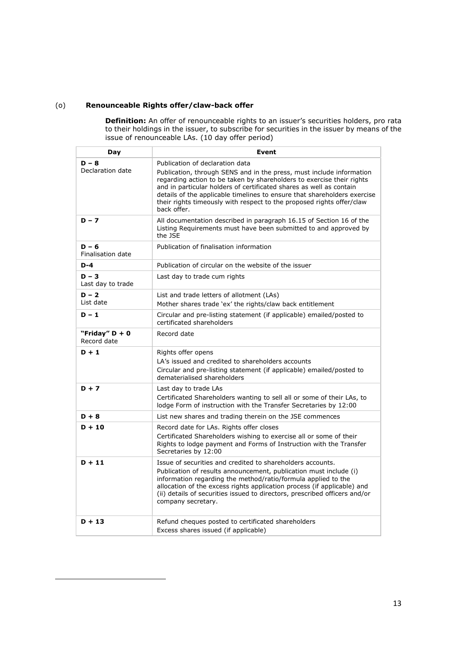# (o) Renounceable Rights offer/claw-back offer

**Definition:** An offer of renounceable rights to an issuer's securities holders, pro rata to their holdings in the issuer, to subscribe for securities in the issuer by means of the issue of renounceable LAs. (10 day offer period)

| Day                             | Event                                                                                                                                                                                                                                                                                                                                                                                                                       |
|---------------------------------|-----------------------------------------------------------------------------------------------------------------------------------------------------------------------------------------------------------------------------------------------------------------------------------------------------------------------------------------------------------------------------------------------------------------------------|
| $D - 8$<br>Declaration date     | Publication of declaration data<br>Publication, through SENS and in the press, must include information<br>regarding action to be taken by shareholders to exercise their rights<br>and in particular holders of certificated shares as well as contain<br>details of the applicable timelines to ensure that shareholders exercise<br>their rights timeously with respect to the proposed rights offer/claw<br>hack offer. |
| $D - 7$                         | All documentation described in paragraph 16.15 of Section 16 of the<br>Listing Requirements must have been submitted to and approved by<br>the JSE                                                                                                                                                                                                                                                                          |
| $D - 6$<br>Finalisation date    | Publication of finalisation information                                                                                                                                                                                                                                                                                                                                                                                     |
| $D-4$                           | Publication of circular on the website of the issuer                                                                                                                                                                                                                                                                                                                                                                        |
| $D - 3$<br>Last day to trade    | Last day to trade cum rights                                                                                                                                                                                                                                                                                                                                                                                                |
| $D - 2$<br>List date            | List and trade letters of allotment (LAs)<br>Mother shares trade 'ex' the rights/claw back entitlement                                                                                                                                                                                                                                                                                                                      |
| $D - 1$                         | Circular and pre-listing statement (if applicable) emailed/posted to<br>certificated shareholders                                                                                                                                                                                                                                                                                                                           |
| "Friday" $D + 0$<br>Record date | Record date                                                                                                                                                                                                                                                                                                                                                                                                                 |
| $D + 1$                         | Rights offer opens<br>LA's issued and credited to shareholders accounts<br>Circular and pre-listing statement (if applicable) emailed/posted to<br>dematerialised shareholders                                                                                                                                                                                                                                              |
| $D + 7$                         | Last day to trade LAs<br>Certificated Shareholders wanting to sell all or some of their LAs, to<br>lodge Form of instruction with the Transfer Secretaries by 12:00                                                                                                                                                                                                                                                         |
| $D + 8$                         | List new shares and trading therein on the JSE commences                                                                                                                                                                                                                                                                                                                                                                    |
| $D + 10$                        | Record date for LAs. Rights offer closes<br>Certificated Shareholders wishing to exercise all or some of their<br>Rights to lodge payment and Forms of Instruction with the Transfer<br>Secretaries by 12:00                                                                                                                                                                                                                |
| $D + 11$                        | Issue of securities and credited to shareholders accounts.<br>Publication of results announcement, publication must include (i)<br>information regarding the method/ratio/formula applied to the<br>allocation of the excess rights application process (if applicable) and<br>(ii) details of securities issued to directors, prescribed officers and/or<br>company secretary.                                             |
| $D + 13$                        | Refund cheques posted to certificated shareholders<br>Excess shares issued (if applicable)                                                                                                                                                                                                                                                                                                                                  |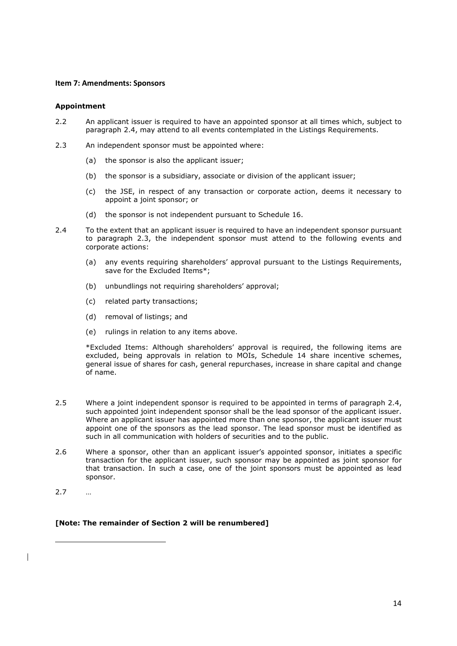# Item 7: Amendments: Sponsors

### Appointment

- 2.2 An applicant issuer is required to have an appointed sponsor at all times which, subject to paragraph 2.4, may attend to all events contemplated in the Listings Requirements.
- 2.3 An independent sponsor must be appointed where:
	- (a) the sponsor is also the applicant issuer;
	- (b) the sponsor is a subsidiary, associate or division of the applicant issuer;
	- (c) the JSE, in respect of any transaction or corporate action, deems it necessary to appoint a joint sponsor; or
	- (d) the sponsor is not independent pursuant to Schedule 16.
- 2.4 To the extent that an applicant issuer is required to have an independent sponsor pursuant to paragraph 2.3, the independent sponsor must attend to the following events and corporate actions:
	- (a) any events requiring shareholders' approval pursuant to the Listings Requirements, save for the Excluded Items\*;
	- (b) unbundlings not requiring shareholders' approval;
	- (c) related party transactions;
	- (d) removal of listings; and
	- (e) rulings in relation to any items above.

 \*Excluded Items: Although shareholders' approval is required, the following items are excluded, being approvals in relation to MOIs, Schedule 14 share incentive schemes, general issue of shares for cash, general repurchases, increase in share capital and change of name.

- 2.5 Where a joint independent sponsor is required to be appointed in terms of paragraph 2.4, such appointed joint independent sponsor shall be the lead sponsor of the applicant issuer. Where an applicant issuer has appointed more than one sponsor, the applicant issuer must appoint one of the sponsors as the lead sponsor. The lead sponsor must be identified as such in all communication with holders of securities and to the public.
- 2.6 Where a sponsor, other than an applicant issuer's appointed sponsor, initiates a specific transaction for the applicant issuer, such sponsor may be appointed as joint sponsor for that transaction. In such a case, one of the joint sponsors must be appointed as lead sponsor.
- 2.7 …

# [Note: The remainder of Section 2 will be renumbered]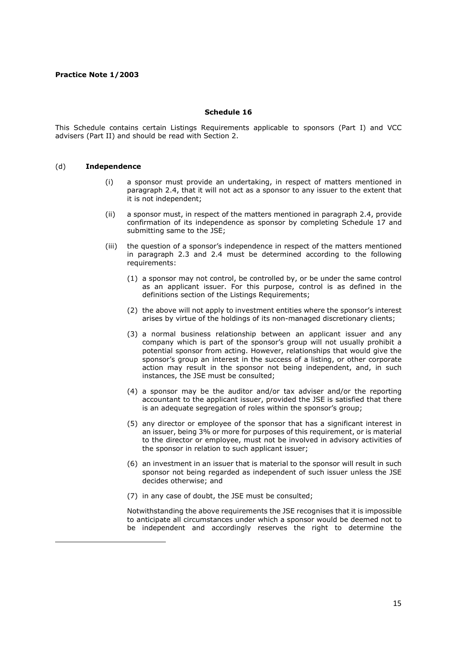# Schedule 16

This Schedule contains certain Listings Requirements applicable to sponsors (Part I) and VCC advisers (Part II) and should be read with Section 2.

# (d) Independence

- (i) a sponsor must provide an undertaking, in respect of matters mentioned in paragraph 2.4, that it will not act as a sponsor to any issuer to the extent that it is not independent;
- (ii) a sponsor must, in respect of the matters mentioned in paragraph 2.4, provide confirmation of its independence as sponsor by completing Schedule 17 and submitting same to the JSE;
- (iii) the question of a sponsor's independence in respect of the matters mentioned in paragraph 2.3 and 2.4 must be determined according to the following requirements:
	- (1) a sponsor may not control, be controlled by, or be under the same control as an applicant issuer. For this purpose, control is as defined in the definitions section of the Listings Requirements;
	- (2) the above will not apply to investment entities where the sponsor's interest arises by virtue of the holdings of its non-managed discretionary clients;
	- (3) a normal business relationship between an applicant issuer and any company which is part of the sponsor's group will not usually prohibit a potential sponsor from acting. However, relationships that would give the sponsor's group an interest in the success of a listing, or other corporate action may result in the sponsor not being independent, and, in such instances, the JSE must be consulted;
	- (4) a sponsor may be the auditor and/or tax adviser and/or the reporting accountant to the applicant issuer, provided the JSE is satisfied that there is an adequate segregation of roles within the sponsor's group;
	- (5) any director or employee of the sponsor that has a significant interest in an issuer, being 3% or more for purposes of this requirement, or is material to the director or employee, must not be involved in advisory activities of the sponsor in relation to such applicant issuer;
	- (6) an investment in an issuer that is material to the sponsor will result in such sponsor not being regarded as independent of such issuer unless the JSE decides otherwise; and
	- (7) in any case of doubt, the JSE must be consulted;

Notwithstanding the above requirements the JSE recognises that it is impossible to anticipate all circumstances under which a sponsor would be deemed not to be independent and accordingly reserves the right to determine the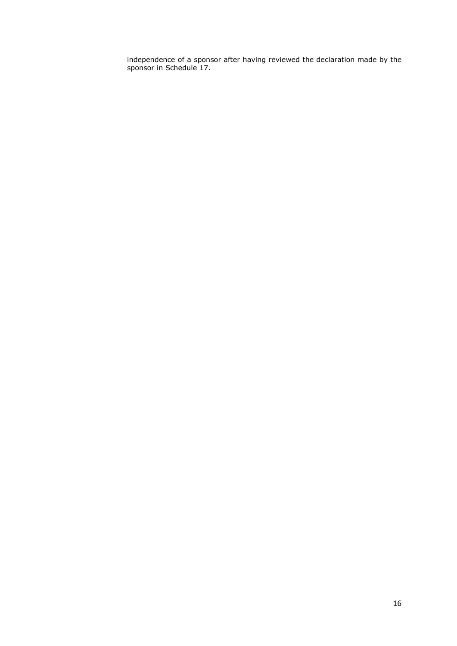independence of a sponsor after having reviewed the declaration made by the sponsor in Schedule 17.